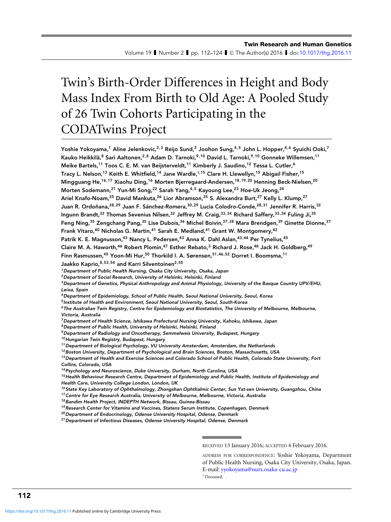# Twin's Birth-Order Differences in Height and Body Mass Index From Birth to Old Age: A Pooled Study of 26 Twin Cohorts Participating in the CODATwins Project

Yoshie Yokoyama,<sup>1</sup> Aline Jelenkovic,<sup>2,3</sup> Reijo Sund,<sup>2</sup> Joohon Sung,<sup>4,5</sup> John L. Hopper,<sup>4,6</sup> Syuichi Ooki,<sup>7</sup> Kauko Heikkilä,<sup>8</sup> Sari Aaltonen,<sup>2,8</sup> Adam D. Tarnoki,<sup>9,10</sup> David L. Tarnoki,<sup>9,10</sup> Gonneke Willemsen,<sup>11</sup> Meike Bartels,<sup>11</sup> Toos C. E. M. van Beijsterveldt,<sup>11</sup> Kimberly J. Saudino,<sup>12</sup> Tessa L. Cutler,<sup>6</sup> Tracy L. Nelson,<sup>13</sup> Keith E. Whitfield,<sup>14</sup> Jane Wardle,<sup>†,15</sup> Clare H. Llewellyn,<sup>15</sup> Abigail Fisher,<sup>15</sup> Mingguang He,<sup>16,17</sup> Xiaohu Ding,<sup>16</sup> Morten Bjerregaard-Andersen,<sup>18,19,20</sup> Henning Beck-Nielsen,<sup>20</sup> Morten Sodemann,<sup>21</sup> Yun-Mi Song,<sup>22</sup> Sarah Yang,<sup>4,5</sup> Kayoung Lee,<sup>23</sup> Hoe-Uk Jeong,<sup>24</sup> Ariel Knafo-Noam,<sup>25</sup> David Mankuta,<sup>26</sup> Lior Abramson,<sup>25</sup> S. Alexandra Burt,<sup>27</sup> Kelly L. Klump,<sup>27</sup> Juan R. Ordoñana, <sup>28,29</sup> Juan F. Sánchez-Romera, <sup>30,29</sup> Lucia Colodro-Conde, <sup>28,31</sup> Jennifer R. Harris, <sup>32</sup> Ingunn Brandt,<sup>32</sup> Thomas Sevenius Nilsen,<sup>32</sup> Jeffrey M. Craig,<sup>33,34</sup> Richard Saffery,<sup>33,34</sup> Fuling Ji,<sup>35</sup> Feng Ning,<sup>35</sup> Zengchang Pang,<sup>35</sup> Lise Dubois,<sup>36</sup> Michel Boivin,<sup>37,38</sup> Mara Brendgen,<sup>39</sup> Ginette Dionne.<sup>37</sup> Frank Vitaro, <sup>40</sup> Nicholas G. Martin, <sup>41</sup> Sarah E. Medland, <sup>41</sup> Grant W. Montgomery, <sup>42</sup> Patrik K. E. Magnusson,<sup>43</sup> Nancy L. Pedersen,<sup>43</sup> Anna K. Dahl Aslan,<sup>43,44</sup> Per Tynelius,<sup>45</sup> Claire M. A. Haworth,<sup>46</sup> Robert Plomin,<sup>47</sup> Esther Rebato,<sup>3</sup> Richard J. Rose,<sup>48</sup> Jack H. Goldberg,<sup>49</sup> Finn Rasmussen,<sup>45</sup> Yoon-Mi Hur,<sup>50</sup> Thorkild I. A. Sørensen,<sup>51,46,52</sup> Dorret I. Boomsma,<sup>11</sup> Jaakko Kaprio, 8,53,54 and Karri Silventoinen<sup>2,55</sup> <sup>1</sup>Department of Public Health Nursing, Osaka City University, Osaka, Japan <sup>2</sup> Department of Social Research, University of Helsinki, Helsinki, Finland <sup>3</sup>Department of Genetics, Physical Anthropology and Animal Physiology, University of the Basque Country UPV/EHU, Leioa, Spain <sup>4</sup>Department of Epidemiology, School of Public Health, Seoul National University, Seoul, Korea <sup>5</sup> Institute of Health and Environment, Seoul National University, Seoul, South-Korea <sup>6</sup> The Australian Twin Registry, Centre for Epidemiology and Biostatistics, The University of Melbourne, Melbourne, Victoria, Australia <sup>7</sup>Department of Health Science, Ishikawa Prefectural Nursing University, Kahoku, Ishikawa, Japan <sup>8</sup>Department of Public Health, University of Helsinki, Helsinki, Finland <sup>9</sup>Department of Radiology and Oncotherapy, Semmelweis University, Budapest, Hungary 10 Hungarian Twin Registry, Budapest, Hungary <sup>11</sup>Department of Biological Psychology, VU University Amsterdam, Amsterdam, the Netherlands <sup>12</sup> Boston University, Department of Psychological and Brain Sciences, Boston, Massachusetts, USA <sup>13</sup> Department of Health and Exercise Sciences and Colorado School of Public Health, Colorado State University, Fort Collins, Colorado, USA <sup>14</sup>Psychology and Neuroscience, Duke University, Durham, North Carolina, USA <sup>15</sup>Health Behaviour Research Centre, Department of Epidemiology and Public Health, Institute of Epidemiology and Health Care, University College London, London, UK <sup>16</sup> State Key Laboratory of Ophthalmology, Zhongshan Ophthalmic Center, Sun Yat-sen University, Guangzhou, China <sup>17</sup>Centre for Eye Research Australia, University of Melbourne, Melbourne, Victoria, Australia <sup>18</sup> Bandim Health Project, INDEPTH Network, Bissau, Guinea-Bissau <sup>19</sup> Research Center for Vitamins and Vaccines, Statens Serum Institute, Copenhagen, Denmark <sup>20</sup> Department of Endocrinology, Odense University Hospital, Odense, Denmark <sup>21</sup> Department of Infectious Diseases, Odense University Hospital, Odense, Denmark

RECEIVED 13 January 2016; ACCEPTED 4 February 2016.

† Deceased.

112

ADDRESS FOR CORRESPONDENCE: Yoshie Yokoyama, Department of Public Health Nursing, Osaka City University, Osaka, Japan. E-mail: [yyokoyama@nurs.osaka-cu.ac.jp](mailto:yyokoyama@nurs.osaka-cu.ac.jp)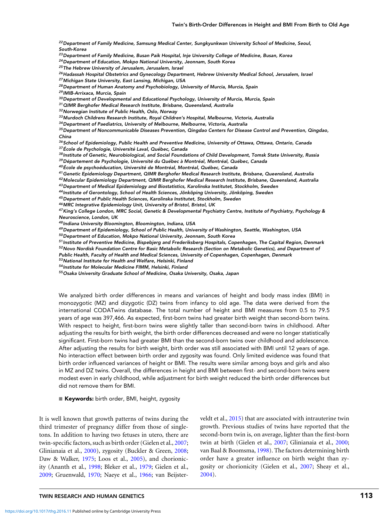<sup>22</sup> Department of Family Medicine, Samsung Medical Center, Sungkyunkwan University School of Medicine, Seoul, South-Korea

<sup>23</sup> Department of Family Medicine, Busan Paik Hospital, Inje University College of Medicine, Busan, Korea

<sup>24</sup>Department of Education, Mokpo National University, Jeonnam, South Korea

<sup>25</sup> The Hebrew University of Jerusalem, Jerusalem, Israel

<sup>26</sup> Hadassah Hospital Obstetrics and Gynecology Department, Hebrew University Medical School, Jerusalem, Israel

<sup>27</sup>Michigan State University, East Lansing, Michigan, USA

<sup>28</sup> Department of Human Anatomy and Psychobiology, University of Murcia, Murcia, Spain

<sup>29</sup> IMIB-Arrixaca, Murcia, Spain

<sup>30</sup> Department of Developmental and Educational Psychology, University of Murcia, Murcia, Spain

 $31$ QIMR Berghofer Medical Research Institute, Brisbane, Queensland, Australia

<sup>32</sup>Norwegian Institute of Public Health, Oslo, Norway

33 Murdoch Childrens Research Institute, Royal Children's Hospital, Melbourne, Victoria, Australia

<sup>34</sup>Department of Paediatrics, University of Melbourne, Melbourne, Victoria, Australia

<sup>35</sup> Department of Noncommunicable Diseases Prevention, Qingdao Centers for Disease Control and Prevention, Qingdao, China

36 School of Epidemiology, Public Health and Preventive Medicine, University of Ottawa, Ottawa, Ontario, Canada

 $37$ École de Psychologie, Université Laval, Québec, Canada

<sup>38</sup> Institute of Genetic, Neurobiological, and Social Foundations of Child Development, Tomsk State University, Russia 39 Département de Psychologie, Université du Québec à Montréal, Montréal, Québec, Canada

<sup>40</sup>École de psychoéducation, Université de Montréal, Montréal, Québec, Canada

<sup>41</sup>Genetic Epidemiology Department, QIMR Berghofer Medical Research Institute, Brisbane, Queensland, Australia

<sup>42</sup>Molecular Epidemiology Department, QIMR Berghofer Medical Research Institute, Brisbane, Queensland, Australia

<sup>43</sup>Department of Medical Epidemiology and Biostatistics, Karolinska Institutet, Stockholm, Sweden

44 Institute of Gerontology, School of Health Sciences, Jönköping University, Jönköping, Sweden

<sup>45</sup>Department of Public Health Sciences, Karolinska Institutet, Stockholm, Sweden

<sup>46</sup>MRC Integrative Epidemiology Unit, University of Bristol, Bristol, UK

<sup>47</sup>King's College London, MRC Social, Genetic & Developmental Psychiatry Centre, Institute of Psychiatry, Psychology & Neuroscience, London, UK

<sup>48</sup> Indiana University Bloomington, Bloomington, Indiana, USA

49 Department of Epidemiology, School of Public Health, University of Washington, Seattle, Washington, USA

<sup>50</sup>Department of Education, Mokpo National University, Jeonnam, South Korea

<sup>51</sup> Institute of Preventive Medicine, Bispebjerg and Frederiksberg Hospitals, Copenhagen, The Capital Region, Denmark 52 Novo Nordisk Foundation Centre for Basic Metabolic Research (Section on Metabolic Genetics), and Department of

Public Health, Faculty of Health and Medical Sciences, University of Copenhagen, Copenhagen, Denmark

<sup>53</sup>National Institute for Health and Welfare, Helsinki, Finland

<sup>54</sup> Institute for Molecular Medicine FIMM, Helsinki, Finland

<sup>55</sup>Osaka University Graduate School of Medicine, Osaka University, Osaka, Japan

We analyzed birth order differences in means and variances of height and body mass index (BMI) in monozygotic (MZ) and dizygotic (DZ) twins from infancy to old age. The data were derived from the international CODATwins database. The total number of height and BMI measures from 0.5 to 79.5 years of age was 397,466. As expected, first-born twins had greater birth weight than second-born twins. With respect to height, first-born twins were slightly taller than second-born twins in childhood. After adjusting the results for birth weight, the birth order differences decreased and were no longer statistically significant. First-born twins had greater BMI than the second-born twins over childhood and adolescence. After adjusting the results for birth weight, birth order was still associated with BMI until 12 years of age. No interaction effect between birth order and zygosity was found. Only limited evidence was found that birth order influenced variances of height or BMI. The results were similar among boys and girls and also in MZ and DZ twins. Overall, the differences in height and BMI between first- and second-born twins were modest even in early childhood, while adjustment for birth weight reduced the birth order differences but did not remove them for BMI.

 $\blacksquare$   $\sf Keywords:$  birth order, BMI, height, zygosity

It is well known that growth patterns of twins during the third trimester of pregnancy differ from those of singletons. In addition to having two fetuses in utero, there are twin-specific factors, such as birth order (Gielen et al., [2007;](#page-11-0) Glinianaia et al., [2000\)](#page-11-0), zygosity (Buckler & Green, [2008;](#page-11-0) Daw & Walker, [1975;](#page-11-0) Loos et al., [2005\)](#page-11-0), and chorionicity (Ananth et al., [1998;](#page-11-0) Bleker et al., [1979;](#page-11-0) Gielen et al., [2009;](#page-11-0) Gruenwald, [1970;](#page-11-0) Naeye et al., [1966;](#page-12-0) van Beijsterveldt et al., [2015\)](#page-12-0) that are associated with intrauterine twin growth. Previous studies of twins have reported that the second-born twin is, on average, lighter than the first-born twin at birth (Gielen et al., [2007;](#page-11-0) Glinianaia et al., [2000;](#page-11-0) van Baal & Boomsma, [1998\)](#page-12-0). The factors determining birth order have a greater influence on birth weight than zygosity or chorionicity (Gielen et al., [2007;](#page-11-0) Sheay et al., [2004\)](#page-12-0).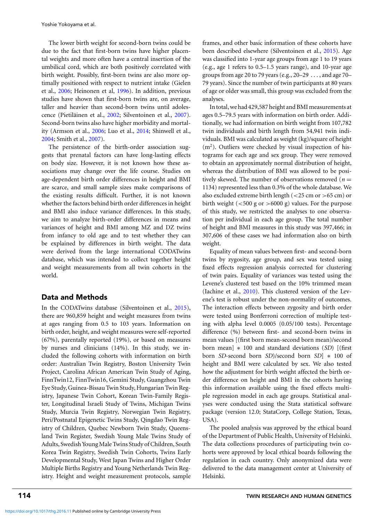Yoshie Yokoyama et al.

The lower birth weight for second-born twins could be due to the fact that first-born twins have higher placental weights and more often have a central insertion of the umbilical cord, which are both positively correlated with birth weight. Possibly, first-born twins are also more optimally positioned with respect to nutrient intake (Gielen et al., [2006;](#page-11-0) Heinonen et al, [1996\)](#page-11-0). In addition, previous studies have shown that first-born twins are, on average, taller and heavier than second-born twins until adoles-cence (Pietiläinen et al., [2002;](#page-12-0) Silventoinen et al., [2007\)](#page-12-0). Second-born twins also have higher morbidity and mortality (Armson et al., [2006;](#page-11-0) Luo et al., [2014;](#page-12-0) Shinwell et al., [2004;](#page-12-0) Smith et al., [2007\)](#page-12-0).

The persistence of the birth-order association suggests that prenatal factors can have long-lasting effects on body size. However, it is not known how these associations may change over the life course. Studies on age-dependent birth order differences in height and BMI are scarce, and small sample sizes make comparisons of the existing results difficult. Further, it is not known whether the factors behind birth order differences in height and BMI also induce variance differences. In this study, we aim to analyze birth-order differences in means and variances of height and BMI among MZ and DZ twins from infancy to old age and to test whether they can be explained by differences in birth weight. The data were derived from the large international CODATwins database, which was intended to collect together height and weight measurements from all twin cohorts in the world.

# Data and Methods

In the CODATwins database (Silventoinen et al., [2015\)](#page-12-0), there are 960,859 height and weight measures from twins at ages ranging from 0.5 to 103 years. Information on birth order, height, and weight measures were self-reported (67%), parentally reported (19%), or based on measures by nurses and clinicians (14%). In this study, we included the following cohorts with information on birth order: Australian Twin Registry, Boston University Twin Project, Carolina African American Twin Study of Aging, FinnTwin12, FinnTwin16, Gemini Study, Guangzhou Twin Eye Study, Guinea-Bissau Twin Study, Hungarian Twin Registry, Japanese Twin Cohort, Korean Twin-Family Register, Longitudinal Israeli Study of Twins, Michigan Twins Study, Murcia Twin Registry, Norwegian Twin Registry, Peri/Postnatal Epigenetic Twins Study, Qingdao Twin Registry of Children, Quebec Newborn Twin Study, Queensland Twin Register, Swedish Young Male Twins Study of Adults, Swedish Young Male Twins Study of Children, South Korea Twin Registry, Swedish Twin Cohorts, Twins Early Developmental Study, West Japan Twins and Higher Order Multiple Births Registry and Young Netherlands Twin Registry. Height and weight measurement protocols, sample frames, and other basic information of these cohorts have been described elsewhere (Silventoinen et al., [2015\)](#page-12-0). Age was classified into 1-year age groups from age 1 to 19 years (e.g., age 1 refers to 0.5–1.5 years range), and 10-year age groups from age 20 to 79 years (e.g., 20–29 . . . , and age 70– 79 years). Since the number of twin participants at 80 years of age or older was small, this group was excluded from the analyses.

In total, we had 429,587 height and BMI measurements at ages 0.5–79.5 years with information on birth order. Additionally, we had information on birth weight from 107,782 twin individuals and birth length from 54,941 twin individuals. BMI was calculated as weight (kg)/square of height  $(m<sup>2</sup>)$ . Outliers were checked by visual inspection of histograms for each age and sex group. They were removed to obtain an approximately normal distribution of height, whereas the distribution of BMI was allowed to be positively skewed. The number of observations removed ( $n =$ 1134) represented less than 0.3% of the whole database. We also excluded extreme birth length (*<*25 cm or *>*65 cm) or birth weight (*<*500 g or *>*6000 g) values. For the purpose of this study, we restricted the analyses to one observation per individual in each age group. The total number of height and BMI measures in this study was 397,466; in 307,606 of these cases we had information also on birth weight.

Equality of mean values between first- and second-born twins by zygosity, age group, and sex was tested using fixed effects regression analysis corrected for clustering of twin pairs. Equality of variances was tested using the Levene's clustered test based on the 10% trimmed mean (Iachine et al., [2010\)](#page-11-0). This clustered version of the Levene's test is robust under the non-normality of outcomes. The interaction effects between zygosity and birth order were tested using Bonferroni correction of multiple testing with alpha level 0.0005 (0.05/100 tests). Percentage difference (%) between first- and second-born twins in mean values [(first born mean-second born mean)/second born mean] ∗ 100 and standard deviations (*SD*) [(first born *SD*-second born *SD*)/second born *SD*] ∗ 100 of height and BMI were calculated by sex. We also tested how the adjustment for birth weight affected the birth order difference on height and BMI in the cohorts having this information available using the fixed effects multiple regression model in each age groups. Statistical analyses were conducted using the Stata statistical software package (version 12.0; StataCorp, College Station, Texas, USA).

The pooled analysis was approved by the ethical board of the Department of Public Health, University of Helsinki. The data collections procedures of participating twin cohorts were approved by local ethical boards following the regulation in each country. Only anonymized data were delivered to the data management center at University of Helsinki.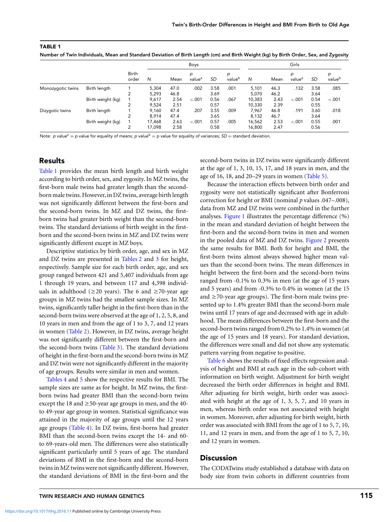| <b>TABLE 1</b> |                                                                                                                                      |  |  |
|----------------|--------------------------------------------------------------------------------------------------------------------------------------|--|--|
|                | Number of Twin Individuals, Mean and Standard Deviation of Birth Length (cm) and Birth Weight (kg) by Birth Order, Sex, and Zygosity |  |  |

|                   |                   | Birth<br>order |        |      | Boys                    |           |                         |        |      | Girls                   |           |             |
|-------------------|-------------------|----------------|--------|------|-------------------------|-----------|-------------------------|--------|------|-------------------------|-----------|-------------|
|                   |                   |                | N      | Mean | p<br>value <sup>a</sup> | <b>SD</b> | p<br>value <sup>b</sup> | N      | Mean | р<br>value <sup>a</sup> | <b>SD</b> | р<br>valueb |
| Monozygotic twins | Birth length      |                | 5.304  | 47.0 | .002                    | 3.58      | .001                    | 5,101  | 46.3 | .132                    | 3.58      | .085        |
|                   |                   |                | 5.293  | 46.8 |                         | 3.69      |                         | 5.070  | 46.2 |                         | 3.64      |             |
|                   | Birth weight (kg) |                | 9.617  | 2.54 | $-.001$                 | 0.56      | .067                    | 10,383 | 2.43 | $-.001$                 | 0.54      | $-.001$     |
|                   |                   |                | 9.524  | 2.51 |                         | 0.57      |                         | 10.330 | 2.39 |                         | 0.55      |             |
| Dizygotic twins   | Birth length      |                | 9.160  | 47.4 | .207                    | 3.55      | .009                    | 7.967  | 46.8 | .191                    | 3.60      | .018        |
|                   |                   | 2              | 8.914  | 47.4 |                         | 3.65      |                         | 8.132  | 46.7 |                         | 3.64      |             |
|                   | Birth weight (kg) |                | 17.468 | 2.63 | $-.001$                 | 0.57      | .005                    | 16,562 | 2.53 | $-.001$                 | 0.55      | .001        |
|                   |                   |                | 17.098 | 2.58 |                         | 0.58      |                         | 16,800 | 2.47 |                         | 0.56      |             |

Note: p value<sup>a</sup> = p value for equality of means; p value<sup>b</sup> = p value for equality of variances; SD = standard deviation.

## Results

Table 1 provides the mean birth length and birth weight according to birth order, sex, and zygosity. In MZ twins, the first-born male twins had greater length than the secondborn male twins. However, in DZ twins, average birth length was not significantly different between the first-born and the second-born twins. In MZ and DZ twins, the firstborn twins had greater birth weight than the second-born twins. The standard deviations of birth weight in the firstborn and the second-born twins in MZ and DZ twins were significantly different except in MZ boys.

Descriptive statistics by birth order, age, and sex in MZ and DZ twins are presented in [Tables 2](#page-4-0) and [3](#page-5-0) for height, respectively. Sample size for each birth order, age, and sex group ranged between 421 and 5,407 individuals from age 1 through 19 years, and between 117 and 4,398 individuals in adulthood ( $\geq$ 20 years). The 6 and  $\geq$ 70-year age groups in MZ twins had the smallest sample sizes. In MZ twins, significantly taller height in the first-born than in the second-born twins were observed at the age of 1, 2, 5, 8, and 10 years in men and from the age of 1 to 3, 7, and 12 years in women [\(Table 2\)](#page-4-0). However, in DZ twins, average height was not significantly different between the first-born and the second-born twins [\(Table 3\)](#page-5-0). The standard deviations of height in the first-born and the second-born twins in MZ and DZ twin were not significantly different in the majority of age groups. Results were similar in men and women.

[Tables 4](#page-6-0) and [5](#page-7-0) show the respective results for BMI. The sample sizes are same as for height. In MZ twins, the firstborn twins had greater BMI than the second-born twins except the 18 and  $\geq$  50-year age groups in men, and the 40to 49-year age group in women. Statistical significance was attained in the majority of age groups until the 12 years age groups [\(Table 4\)](#page-6-0). In DZ twins, first-borns had greater BMI than the second-born twins except the 14- and 60 to 69-years-old men. The differences were also statistically significant particularly until 5 years of age. The standard deviations of BMI in the first-born and the second-born twins in MZ twins were not significantly different. However, the standard deviations of BMI in the first-born and the second-born twins in DZ twins were significantly different at the age of 1, 3, 10, 15, 17, and 18 years in men, and the age of 16, 18, and 20–29 years in women [\(Table 5\)](#page-7-0).

Because the interaction effects between birth order and zygosity were not statistically significant after Bonferroni correction for height or BMI (nominal *p* values .047–.008), data from MZ and DZ twins were combined in the further analyses. [Figure 1](#page-8-0) illustrates the percentage difference (%) in the mean and standard deviation of height between the first-born and the second-born twins in men and women in the pooled data of MZ and DZ twins. [Figure 2](#page-8-0) presents the same results for BMI. Both for height and BMI, the first-born twins almost always showed higher mean values than the second-born twins. The mean differences in height between the first-born and the second-born twins ranged from -0.1% to 0.3% in men (at the age of 15 years and 5 years) and from -0.3% to 0.4% in women (at the 15 and  $\geq$  70-year age groups). The first-born male twins presented up to 1.4% greater BMI than the second-born male twins until 17 years of age and decreased with age in adulthood. The mean differences between the first-born and the second-born twins ranged from 0.2% to 1.4% in women (at the age of 15 years and 18 years). For standard deviation, the differences were small and did not show any systematic pattern varying from negative to positive.

[Table 6](#page-9-0) shows the results of fixed effects regression analysis of height and BMI at each age in the sub-cohort with information on birth weight. Adjustment for birth weight decreased the birth order differences in height and BMI. After adjusting for birth weight, birth order was associated with height at the age of 1, 3, 5, 7, and 10 years in men, whereas birth order was not associated with height in women. Moreover, after adjusting for birth weight, birth order was associated with BMI from the age of 1 to 5, 7, 10, 11, and 12 years in men, and from the age of 1 to 5, 7, 10, and 12 years in women.

## **Discussion**

The CODATwins study established a database with data on body size from twin cohorts in different countries from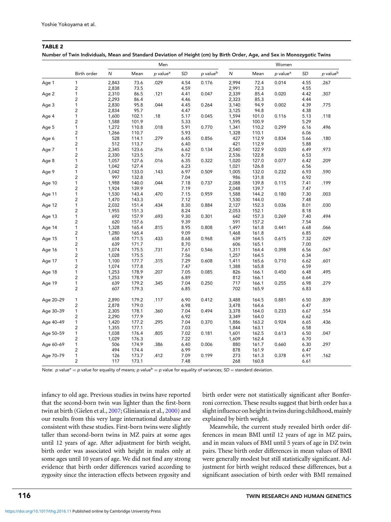|                       |                         |       | Men   |                      |      |                      |           | Women |                      |      |                      |  |  |
|-----------------------|-------------------------|-------|-------|----------------------|------|----------------------|-----------|-------|----------------------|------|----------------------|--|--|
|                       | Birth order             | N     | Mean  | p value <sup>a</sup> | SD   | p value <sup>b</sup> | ${\sf N}$ | Mean  | p value <sup>a</sup> | SD   | p value <sup>b</sup> |  |  |
| Age 1                 | $\mathbf{1}$            | 2,843 | 73.6  | .029                 | 4.54 | 0.176                | 2,994     | 72.4  | 0.014                | 4.55 | .267                 |  |  |
|                       | $\mathbf 2$             | 2,838 | 73.5  |                      | 4.59 |                      | 2,991     | 72.3  |                      | 4.55 |                      |  |  |
| $\mathbf{1}$<br>Age 2 |                         | 2,310 | 86.5  | .121                 | 4.41 | 0.047                | 2,339     | 85.4  | 0.020                | 4.42 | .307                 |  |  |
|                       | $\overline{\mathbf{c}}$ | 2,293 | 86.4  |                      | 4.46 |                      | 2,323     | 85.3  |                      | 4.44 |                      |  |  |
| Age 3                 | 1                       | 2,830 | 95.8  | .044                 | 4.45 | 0.264                | 3,140     | 94.9  | 0.002                | 4.39 | .775                 |  |  |
|                       | 2                       | 2,834 | 95.7  |                      | 4.47 |                      | 3,125     | 94.8  |                      | 4.38 |                      |  |  |
| Age 4                 | 1                       | 1,600 | 102.1 | .18                  | 5.17 | 0.045                | 1,594     | 101.0 | 0.116                | 5.13 | .118                 |  |  |
|                       | $\overline{\mathbf{c}}$ | 1,588 | 101.9 |                      | 5.33 |                      | 1,595     | 100.9 |                      | 5.29 |                      |  |  |
| Age 5                 | 1                       | 1,272 | 110.8 | .018                 | 5.91 | 0.770                | 1,341     | 110.2 | 0.299                | 6.16 | .496                 |  |  |
|                       | 2                       | 1,266 | 110.7 |                      | 5.93 |                      | 1,328     | 110.1 |                      | 6.06 |                      |  |  |
| Age 6                 | $\mathbf{1}$            | 528   | 114.1 | .279                 | 6.45 | 0.856                | 427       | 112.9 | 0.834                | 5.66 | .180                 |  |  |
|                       | $\overline{c}$          | 512   | 113.7 |                      | 6.40 |                      | 421       | 112.9 |                      | 5.88 |                      |  |  |
| Age 7                 | 1                       | 2,345 | 123.6 | .216                 | 6.62 | 0.134                | 2,540     | 122.9 | 0.020                | 6.49 | .973                 |  |  |
|                       | 2                       | 2,330 | 123.5 |                      | 6.72 |                      | 2,536     | 122.8 |                      | 6.53 |                      |  |  |
|                       | 1                       | 1,057 | 127.6 | .016                 | 6.35 | 0.322                | 1,020     | 127.0 | 0.077                | 6.42 | .209                 |  |  |
| Age 8                 | 2                       | 1,042 | 127.4 |                      | 6.23 |                      | 1,021     | 126.8 |                      | 6.56 |                      |  |  |
|                       |                         | 1,042 |       |                      |      |                      |           |       |                      |      |                      |  |  |
| Age 9                 | 1                       |       | 133.0 | .143                 | 6.97 | 0.509                | 1,005     | 132.0 | 0.232                | 6.93 | .590                 |  |  |
|                       | $\overline{c}$          | 997   | 132.8 |                      | 7.04 |                      | 986       | 131.8 |                      | 6.92 |                      |  |  |
| Age 10                | $\mathbf{1}$            | 1,988 | 140.0 | .044                 | 7.18 | 0.737                | 2,088     | 139.8 | 0.115                | 7.41 | .199                 |  |  |
|                       | 2                       | 1,924 | 139.9 |                      | 7.19 |                      | 2,048     | 139.7 |                      | 7.47 |                      |  |  |
| Age 11                | $\mathbf{1}$            | 1,530 | 143.4 | .470                 | 7.15 | 0.959                | 1,588     | 144.2 | 0.180                | 7.30 | .003                 |  |  |
|                       | $\overline{\mathbf{c}}$ | 1,470 | 143.3 |                      | 7.12 |                      | 1,530     | 144.0 |                      | 7.48 |                      |  |  |
| Age 12                | $\mathbf{1}$            | 2,032 | 151.4 | .434                 | 8.30 | 0.884                | 2,127     | 152.3 | 0.036                | 8.01 | .030                 |  |  |
|                       | $\overline{c}$          | 1,955 | 151.3 |                      | 8.24 |                      | 2,053     | 152.1 |                      | 8.18 |                      |  |  |
| Age 13                | $\mathbf{1}$            | 692   | 157.9 | .693                 | 9.30 | 0.301                | 642       | 157.3 | 0.269                | 7.40 | .494                 |  |  |
|                       | $\overline{c}$          | 620   | 157.6 |                      | 9.39 |                      | 591       | 157.2 |                      | 7.54 |                      |  |  |
| Age 14                | 1                       | 1,328 | 165.4 | .815                 | 8.95 | 0.808                | 1,497     | 161.8 | 0.441                | 6.68 | .066                 |  |  |
|                       | $\overline{\mathbf{c}}$ | 1,280 | 165.4 |                      | 9.09 |                      | 1,468     | 161.8 |                      | 6.85 |                      |  |  |
| Age 15                | $\mathbf{1}$            | 658   | 171.5 | .433                 | 8.68 | 0.968                | 639       | 164.5 | 0.615                | 7.32 | .029                 |  |  |
|                       | $\overline{c}$          | 639   | 171.7 |                      | 8.70 |                      | 606       | 165.1 |                      | 7.00 |                      |  |  |
| Age 16                | $\mathbf{1}$            | 1,074 | 175.5 | .731                 | 7.61 | 0.546                | 1,311     | 164.4 | 0.398                | 6.56 | .067                 |  |  |
|                       | $\overline{c}$          | 1,028 | 175.5 |                      | 7.56 |                      | 1,257     | 164.5 |                      | 6.34 |                      |  |  |
| Age 17                | 1                       | 1,100 | 177.7 | .315                 | 7.29 | 0.608                | 1,411     | 165.6 | 0.710                | 6.62 | .601                 |  |  |
|                       | $\overline{\mathbf{c}}$ | 1,074 | 177.8 |                      | 7.47 |                      | 1,388     | 165.8 |                      | 6.59 |                      |  |  |
| Age 18                | 1                       | 1,253 | 178.9 | .207                 | 7.05 | 0.085                | 826       | 166.1 | 0.450                | 6.48 | .495                 |  |  |
|                       | $\overline{\mathbf{c}}$ | 1,253 | 178.9 |                      | 6.89 |                      | 812       | 166.1 |                      | 6.64 |                      |  |  |
| Age 19                | $\mathbf{1}$            | 639   | 179.2 | .345                 | 7.04 | 0.250                | 717       | 166.1 | 0.255                | 6.98 | .279                 |  |  |
|                       | $\overline{c}$          | 607   | 179.3 |                      | 6.85 |                      | 702       | 165.9 |                      | 6.83 |                      |  |  |
| Age 20-29             | $\mathbf{1}$            | 2,890 | 179.2 | .117                 | 6.90 | 0.412                | 3,488     | 164.5 | 0.881                | 6.50 | .839                 |  |  |
|                       | $\overline{c}$          | 2,878 | 179.0 |                      | 6.98 |                      | 3,478     | 164.6 |                      | 6.47 |                      |  |  |
| Age 30-39             | $\mathbf{1}$            | 2,305 | 178.1 | .360                 | 7.04 | 0.494                | 3,378     | 164.0 | 0.233                | 6.67 | .554                 |  |  |
|                       | 2                       | 2,290 | 177.9 |                      | 6.92 |                      | 3,349     | 164.0 |                      | 6.62 |                      |  |  |
| Age 40-49             | $\mathbf{1}$            | 1,420 | 177.2 | .295                 | 7.04 | 0.370                | 1,886     | 163.2 | 0.924                | 6.65 | .436                 |  |  |
|                       | $\mathbf 2$             | 1,355 | 177.1 |                      | 7.03 |                      | 1,844     | 163.1 |                      | 6.58 |                      |  |  |
| Age 50-59             | $\mathbf{1}$            | 1,038 | 176.4 | .805                 | 7.02 | 0.181                | 1,601     | 162.5 | 0.613                | 6.50 | .047                 |  |  |
|                       | $\overline{c}$          | 1,029 | 176.3 |                      | 7.22 |                      | 1,609     | 162.4 |                      | 6.70 |                      |  |  |
| Age 60-69             | $\mathbf{1}$            | 506   | 174.9 | .386                 | 6.40 | 0.006                | 880       | 161.7 | 0.660                | 6.30 | .297                 |  |  |
|                       | $\overline{c}$          | 494   | 174.4 |                      | 6.99 |                      | 878       | 161.9 |                      | 6.47 |                      |  |  |
| Age 70-79             | $\mathbf{1}$            | 126   | 173.7 | .412                 | 7.09 | 0.199                | 273       | 161.3 | 0.378                | 6.91 | .162                 |  |  |
|                       |                         |       |       |                      |      |                      |           |       |                      |      |                      |  |  |
|                       | $\overline{c}$          | 117   | 173.1 |                      | 7.48 |                      | 268       | 160.8 |                      | 6.61 |                      |  |  |

<span id="page-4-0"></span>

| Number of Twin Individuals, Mean and Standard Deviation of Height (cm) by Birth Order, Age, and Sex in Monozygotic Twins |  |
|--------------------------------------------------------------------------------------------------------------------------|--|
|                                                                                                                          |  |
|                                                                                                                          |  |

Note: p value<sup>a</sup> = p value for equality of means; p value<sup>b</sup> = p value for equality of variances;  $SD =$  standard deviation.

infancy to old age. Previous studies in twins have reported that the second-born twin was lighter than the first-born twin at birth (Gielen et al., [2007;](#page-11-0) Glinianaia et al., [2000\)](#page-11-0) and our results from this very large international database are consistent with these studies. First-born twins were slightly taller than second-born twins in MZ pairs at some ages until 12 years of age. After adjustment for birth weight, birth order was associated with height in males only at some ages until 10 years of age. We did not find any strong evidence that birth order differences varied according to zygosity since the interaction effects between zygosity and birth order were not statistically significant after Bonferroni correction. These results suggest that birth order has a slight influence on height in twins during childhood, mainly explained by birth weight.

Meanwhile, the current study revealed birth order differences in mean BMI until 12 years of age in MZ pairs, and in mean values of BMI until 5 years of age in DZ twin pairs. These birth order differences in mean values of BMI were generally modest but still statistically significant. Adjustment for birth weight reduced these differences, but a significant association of birth order with BMI remained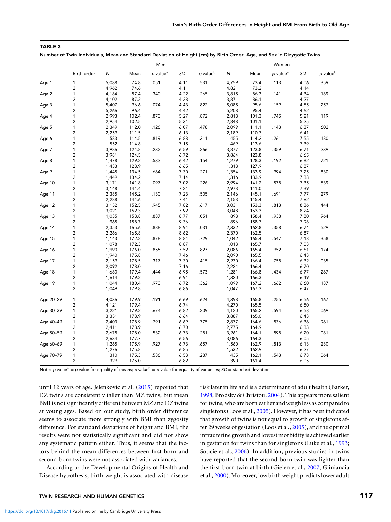|           |                         | Men       |       |                      |           |                      |           | Women |                      |           |          |  |  |
|-----------|-------------------------|-----------|-------|----------------------|-----------|----------------------|-----------|-------|----------------------|-----------|----------|--|--|
|           | Birth order             | ${\sf N}$ | Mean  | p value <sup>a</sup> | <b>SD</b> | p value <sup>b</sup> | ${\sf N}$ | Mean  | p value <sup>a</sup> | <b>SD</b> | p valueb |  |  |
| Age 1     | $\mathbf{1}$            | 5,088     | 74.8  | .051                 | 4.11      | .531                 | 4,759     | 73.4  | .113                 | 4.06      | .359     |  |  |
|           | 2                       | 4,962     | 74.6  |                      | 4.11      |                      | 4,821     | 73.2  |                      | 4.14      |          |  |  |
| Age 2     | 1                       | 4,184     | 87.4  | .340                 | 4.22      | .265                 | 3,815     | 86.3  | .141                 | 4.34      | .189     |  |  |
|           | $\overline{\mathbf{c}}$ | 4,102     | 87.2  |                      | 4.28      |                      | 3,871     | 86.1  |                      | 4.27      |          |  |  |
| Age 3     | 1                       | 5,407     | 96.6  | .074                 | 4.43      | .822                 | 5,085     | 95.6  | .159                 | 4.55      | .257     |  |  |
|           | $\overline{\mathbf{c}}$ | 5,266     | 96.4  |                      | 4.42      |                      | 5,208     | 95.4  |                      | 4.62      |          |  |  |
| Age 4     | $\mathbf{1}$            | 2,993     | 102.4 | .873                 | 5.27      | .872                 | 2,818     | 101.3 | .745                 | 5.21      | .119     |  |  |
|           | $\mathbf 2$             | 2,954     | 102.5 |                      | 5.31      |                      | 2,848     | 101.1 |                      | 5.25      |          |  |  |
| Age 5     | 1                       | 2,349     | 112.0 | .126                 | 6.07      | .478                 | 2,099     | 111.1 | .143                 | 6.37      | .602     |  |  |
|           | 2                       | 2,259     | 111.5 |                      | 6.13      |                      | 2,189     | 110.7 |                      | 6.41      |          |  |  |
| Age 6     | 1                       | 583       | 114.5 | .819                 | 6.88      | .311                 | 455       | 114.2 | .261                 | 7.55      | .180     |  |  |
|           | $\overline{\mathbf{c}}$ | 552       | 114.8 |                      | 7.15      |                      | 469       | 113.6 |                      | 7.39      |          |  |  |
| Age 7     | 1                       | 3,986     | 124.8 | .232                 | 6.59      | .266                 | 3,877     | 123.8 | .359                 | 6.71      | .239     |  |  |
|           | 2                       | 3,981     | 124.5 |                      | 6.72      |                      | 3,864     | 123.8 |                      | 6.65      |          |  |  |
| Age 8     | 1                       | 1,478     | 129.2 | .533                 | 6.42      | .154                 | 1,279     | 128.3 | .192                 | 6.82      | .721     |  |  |
|           | 2                       | 1,433     | 128.9 |                      | 6.65      |                      | 1,318     | 127.9 |                      | 6.87      |          |  |  |
| Age 9     | 1                       | 1,445     | 134.5 | .664                 | 7.30      | .271                 | 1,354     | 133.9 | .994                 | 7.25      | .830     |  |  |
|           | 2                       | 1,449     | 134.2 |                      | 7.14      |                      | 1,316     | 133.9 |                      | 7.38      |          |  |  |
| Age 10    | 1                       | 3,171     | 141.8 | .097                 | 7.02      | .226                 | 2,994     | 141.2 | .578                 | 7.35      | .539     |  |  |
|           | $\overline{\mathbf{c}}$ | 3,148     | 141.4 |                      | 7.21      |                      | 2,973     | 141.0 |                      | 7.39      |          |  |  |
| Age 11    | $\mathbf{1}$            | 2,385     | 145.2 | .130                 | 7.23      | .505                 | 2,146     | 145.1 | .691                 | 7.77      | .279     |  |  |
|           | $\mathbf 2$             | 2,288     | 144.6 |                      | 7.41      |                      | 2,153     | 145.4 |                      | 7.92      |          |  |  |
|           | 1                       | 3,152     | 152.5 | .945                 | 7.82      | .617                 | 3,031     | 153.3 | .813                 | 8.36      | .444     |  |  |
| Age 12    | 2                       | 3,021     | 152.3 |                      | 7.92      |                      | 3,048     | 153.3 |                      | 8.24      |          |  |  |
| Age 13    | 1                       | 1,035     | 158.8 | .887                 | 8.77      | .051                 | 898       | 158.4 | .938                 | 7.80      | .964     |  |  |
|           | 2                       | 965       | 158.7 |                      | 9.36      |                      | 896       | 158.7 |                      | 7.98      |          |  |  |
|           | 1                       | 2,353     | 165.6 | .888                 | 8.94      | .031                 | 2,332     | 162.8 | .358                 | 6.74      | .529     |  |  |
| Age 14    | $\overline{\mathbf{c}}$ |           | 165.8 |                      | 8.62      |                      | 2,370     | 162.5 |                      | 6.87      |          |  |  |
|           | 1                       | 2,266     |       | .878                 |           |                      | 1,042     |       | .547                 |           | .358     |  |  |
| Age 15    |                         | 1,143     | 172.2 |                      | 8.84      | .729                 |           | 165.4 |                      | 7.18      |          |  |  |
|           | 2                       | 1,078     | 172.3 |                      | 8.87      |                      | 1,013     | 165.7 |                      | 7.03      |          |  |  |
| Age 16    | 1                       | 1,990     | 176.0 | .855                 | 7.52      | .827                 | 2,086     | 165.4 | .952                 | 6.61      | .174     |  |  |
|           | 2                       | 1,940     | 175.8 |                      | 7.46      |                      | 2,090     | 165.5 |                      | 6.43      |          |  |  |
| Age 17    | 1                       | 2,159     | 178.5 | .317                 | 7.30      | .415                 | 2,230     | 166.4 | .758                 | 6.32      | .035     |  |  |
|           | 2                       | 2,092     | 178.0 |                      | 7.16      |                      | 2,224     | 166.4 |                      | 6.70      |          |  |  |
| Age 18    | $\mathbf{1}$            | 1,680     | 179.4 | .444                 | 6.95      | .573                 | 1,281     | 166.8 | .434                 | 6.77      | .267     |  |  |
|           | $\overline{\mathbf{c}}$ | 1,614     | 179.2 |                      | 6.91      |                      | 1,320     | 166.3 |                      | 6.49      |          |  |  |
| Age 19    | $\mathbf{1}$            | 1,044     | 180.4 | .973                 | 6.72      | .362                 | 1,099     | 167.2 | .662                 | 6.60      | .187     |  |  |
|           | $\overline{c}$          | 1,049     | 179.8 |                      | 6.86      |                      | 1,047     | 167.3 |                      | 6.47      |          |  |  |
| Age 20-29 | $\mathbf{1}$            | 4,036     | 179.9 | .191                 | 6.69      | .624                 | 4,398     | 165.8 | .255                 | 6.56      | .167     |  |  |
|           | $\overline{\mathbf{c}}$ | 4,121     | 179.4 |                      | 6.74      |                      | 4,270     | 165.5 |                      | 6.50      |          |  |  |
| Age 30-39 | $\mathbf{1}$            | 3,221     | 179.2 | .674                 | 6.82      | .209                 | 4,120     | 165.2 | .594                 | 6.58      | .069     |  |  |
|           | $\overline{c}$          | 3,351     | 178.9 |                      | 6.64      |                      | 3,887     | 165.0 |                      | 6.43      |          |  |  |
| Age 40-49 | $\mathbf{1}$            | 2,403     | 178.9 | .791                 | 6.69      | .775                 | 2,877     | 164.6 | .836                 | 6.36      | .961     |  |  |
|           | $\overline{c}$          | 2,411     | 178.9 |                      | 6.70      |                      | 2,775     | 164.9 |                      | 6.33      |          |  |  |
| Age 50-59 | $\mathbf{1}$            | 2,678     | 178.0 | .532                 | 6.73      | .281                 | 3,261     | 164.1 | .898                 | 6.20      | .081     |  |  |
|           | 2                       | 2,634     | 177.7 |                      | 6.56      |                      | 3,086     | 164.3 |                      | 6.05      |          |  |  |
| Age 60-69 | $\mathbf{1}$            | 1,265     | 175.9 | .927                 | 6.73      | .657                 | 1,560     | 162.9 | .813                 | 6.13      | .280     |  |  |
|           | 2                       | 1,276     | 175.8 |                      | 6.85      |                      | 1,532     | 162.9 |                      | 6.27      |          |  |  |
| Age 70-79 | $\mathbf{1}$            | 310       | 175.3 | .586                 | 6.53      | .287                 | 435       | 162.1 | .543                 | 6.78      | .064     |  |  |
|           | $\overline{\mathbf{c}}$ | 329       | 175.0 |                      | 6.82      |                      | 390       | 161.4 |                      | 6.05      |          |  |  |
|           |                         |           |       |                      |           |                      |           |       |                      |           |          |  |  |

| Number of Twin Individuals, Mean and Standard Deviation of Height (cm) by Birth Order, Age, and Sex in Dizygotic Twins |  |  |
|------------------------------------------------------------------------------------------------------------------------|--|--|
|                                                                                                                        |  |  |

Note: p value<sup>a</sup> = p value for equality of means; p value<sup>b</sup> = p value for equality of variances; SD = standard deviation.

until 12 years of age. Jelenkovic et al. [\(2015\)](#page-11-0) reported that DZ twins are consistently taller than MZ twins, but mean BMI is not significantly different between MZ and DZ twins at young ages. Based on our study, birth order difference seems to associate more strongly with BMI than zygosity difference. For standard deviations of height and BMI, the results were not statistically significant and did not show any systematic pattern either. Thus, it seems that the factors behind the mean differences between first-born and second-born twins were not associated with variances.

According to the Developmental Origins of Health and Disease hypothesis, birth weight is associated with disease risk later in life and is a determinant of adult health (Barker, [1998;](#page-11-0) Brodsky & Christou, [2004\)](#page-11-0). This appears more salient for twins, who are born earlier and weigh less as compared to singletons (Loos et al., [2005\)](#page-11-0). However, it has been indicated that growth of twins is not equal to growth of singletons after 29 weeks of gestation (Loos et al., [2005\)](#page-11-0), and the optimal intrauterine growth and lowest morbidity is achieved earlier in gestation for twins than for singletons (Luke et al., [1993;](#page-12-0) Soucie et al., [2006\)](#page-12-0). In addition, previous studies in twins have reported that the second-born twin was lighter than the first-born twin at birth (Gielen et al., [2007;](#page-11-0) Glinianaia et al., [2000\)](#page-11-0). Moreover, low birth weight predicts lower adult

<span id="page-5-0"></span>TABLE 3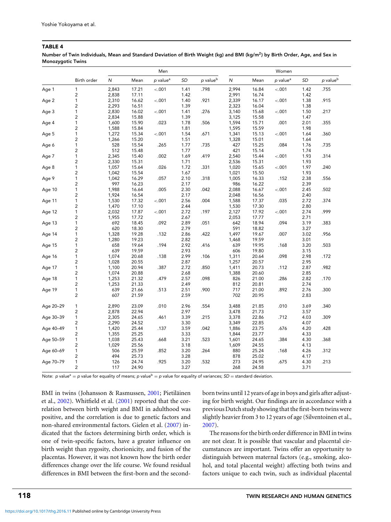<span id="page-6-0"></span>Number of Twin Individuals, Mean and Standard Deviation of Birth Weight (kg) and BMI (kg/m<sup>2</sup>) by Birth Order, Age, and Sex in Monozygotic Twins

|           |                         |       |       | Men                  |      |                      | Women     |       |                      |      |                        |
|-----------|-------------------------|-------|-------|----------------------|------|----------------------|-----------|-------|----------------------|------|------------------------|
|           | Birth order             | N     | Mean  | p value <sup>a</sup> | SD   | p value <sup>b</sup> | ${\sf N}$ | Mean  | p value <sup>a</sup> | SD   | $p$ value <sup>b</sup> |
| Age 1     | $\mathbf{1}$            | 2,843 | 17.21 | $-.001$              | 1.41 | .798                 | 2,994     | 16.84 | $-.001$              | 1.42 | .755                   |
|           | $\overline{c}$          | 2,838 | 17.11 |                      | 1.42 |                      | 2,991     | 16.74 |                      | 1.42 |                        |
| Age 2     | $\mathbf{1}$            | 2,310 | 16.62 | $-.001$              | 1.40 | .921                 | 2,339     | 16.17 | $-.001$              | 1.38 | .915                   |
|           | 2                       | 2,293 | 16.51 |                      | 1.39 |                      | 2,323     | 16.04 |                      | 1.38 |                        |
| Age 3     | 1                       | 2,830 | 16.02 | $-.001$              | 1.41 | .276                 | 3,140     | 15.68 | $-.001$              | 1.50 | .217                   |
|           | 2                       | 2,834 | 15.88 |                      | 1.39 |                      | 3,125     | 15.58 |                      | 1.47 |                        |
| Age 4     | $\mathbf{1}$            | 1,600 | 15.90 | .023                 | 1.78 | .506                 | 1,594     | 15.71 | .001                 | 2.01 | .355                   |
|           | $\overline{\mathbf{c}}$ | 1,588 | 15.84 |                      | 1.81 |                      | 1,595     | 15.59 |                      | 1.98 |                        |
| Age 5     | $\mathbf{1}$            | 1,272 | 15.34 | $-.001$              | 1.54 | .671                 | 1,341     | 15.13 | $-.001$              | 1.64 | .360                   |
|           | $\overline{c}$          | 1,266 | 15.20 |                      | 1.51 |                      | 1,328     | 15.01 |                      | 1.64 |                        |
| Age 6     | 1                       | 528   | 15.54 | .265                 | 1.77 | .735                 | 427       | 15.25 | .084                 | 1.76 | .735                   |
|           | $\overline{\mathbf{c}}$ | 512   | 15.48 |                      | 1.77 |                      | 421       | 15.14 |                      | 1.74 |                        |
| Age 7     | 1                       | 2,345 | 15.40 | .002                 | 1.69 | .419                 | 2,540     | 15.44 | $-.001$              | 1.93 | .314                   |
|           | $\overline{\mathbf{c}}$ | 2,330 | 15.31 |                      | 1.71 |                      | 2,536     | 15.31 |                      | 1.93 |                        |
| Age 8     | $\mathbf{1}$            | 1,057 | 15.64 | .026                 | 1.72 | .331                 | 1,020     | 15.65 | $-.001$              | 1.97 | .240                   |
|           | $\overline{c}$          | 1,042 | 15.54 |                      | 1.67 |                      | 1,021     | 15.50 |                      | 1.93 |                        |
| Age 9     | 1                       | 1,042 | 16.29 | .057                 | 2.10 | .318                 | 1,005     | 16.33 | .152                 | 2.38 | .556                   |
|           | 2                       | 997   | 16.23 |                      | 2.17 |                      | 986       | 16.22 |                      | 2.39 |                        |
| Age 10    | $\mathbf{1}$            | 1,988 | 16.64 | .005                 | 2.30 | .042                 | 2,088     | 16.67 | $-.001$              | 2.45 | .502                   |
|           | $\overline{\mathbf{c}}$ | 1,924 | 16.54 |                      | 2.17 |                      | 2,048     | 16.56 |                      | 2.40 |                        |
| Age 11    | $\mathbf{1}$            | 1,530 | 17.32 | $-.001$              | 2.56 | .004                 | 1,588     | 17.37 | .035                 | 2.72 | .374                   |
|           | 2                       | 1,470 | 17.10 |                      | 2.44 |                      | 1,530     | 17.30 |                      | 2.80 |                        |
| Age 12    | 1                       | 2,032 | 17.87 | $-.001$              | 2.72 | .197                 | 2,127     | 17.92 | $-.001$              | 2.74 | .999                   |
|           | $\overline{c}$          | 1,955 | 17.72 |                      | 2.67 |                      | 2,053     | 17.77 |                      | 2.71 |                        |
| Age 13    | $\mathbf{1}$            | 692   | 18.45 | .092                 | 2.89 | .051                 | 642       | 18.94 | .094                 | 3.19 | .383                   |
|           | 2                       | 620   | 18.30 |                      | 2.79 |                      | 591       | 18.82 |                      | 3.27 |                        |
| Age 14    | $\mathbf{1}$            | 1,328 | 19.28 | .132                 | 2.86 | .422                 | 1,497     | 19.67 | .007                 | 3.02 | .956                   |
|           | 2                       | 1,280 | 19.23 |                      | 2.82 |                      | 1,468     | 19.59 |                      | 3.01 |                        |
| Age 15    | $\mathbf{1}$            | 658   | 19.64 | .194                 | 2.92 | .416                 | 639       | 19.95 | .168                 | 3.20 | .503                   |
|           | $\overline{c}$          | 639   | 19.59 |                      | 2.93 |                      | 606       | 19.80 |                      | 3.15 |                        |
| Age 16    | $\mathbf{1}$            | 1,074 | 20.68 | .138                 | 2.99 | .106                 | 1,311     | 20.64 | .098                 | 2.98 | .172                   |
|           | $\overline{c}$          | 1,028 | 20.55 |                      | 2.87 |                      | 1,257     | 20.57 |                      | 2.95 |                        |
| Age 17    | 1                       | 1,100 | 20.94 | .387                 | 2.72 | .850                 | 1,411     | 20.73 | .112                 | 2.87 | .982                   |
|           | $\overline{\mathbf{c}}$ | 1,074 | 20.88 |                      | 2.68 |                      | 1,388     | 20.60 |                      | 2.85 |                        |
| Age 18    | 1                       | 1,253 | 21.32 | .479                 | 2.57 | .098                 | 826       | 21.00 | .286                 | 2.82 | .170                   |
|           | $\overline{\mathbf{c}}$ | 1,253 | 21.33 |                      | 2.49 |                      | 812       | 20.81 |                      | 2.74 |                        |
| Age 19    | $\mathbf{1}$            | 639   | 21.66 | .513                 | 2.51 | .900                 | 717       | 21.00 | .892                 | 2.76 | .300                   |
|           | $\overline{c}$          | 607   | 21.59 |                      | 2.59 |                      | 702       | 20.95 |                      | 2.83 |                        |
| Age 20-29 | 1                       | 2,890 | 23.09 | .010                 | 2.96 | .554                 | 3,488     | 21.85 | .010                 | 3.69 | .340                   |
|           | $\overline{c}$          | 2,878 | 22.94 |                      | 2.97 |                      | 3,478     | 21.73 |                      | 3.57 |                        |
| Age 30-39 | $\mathbf{1}$            | 2,305 | 24.65 | .461                 | 3.39 | .215                 | 3,378     | 22.86 | .712                 | 4.03 | .309                   |
|           | 2                       | 2,290 | 24.52 |                      | 3.30 |                      | 3,349     | 22.85 |                      | 4.07 |                        |
| Age 40-49 | $\mathbf{1}$            | 1,420 | 25.44 | .137                 | 3.59 | .042                 | 1,886     | 23.75 | .676                 | 4.20 | .428                   |
|           | 2                       | 1,355 | 25.25 |                      | 3.33 |                      | 1,844     | 23.77 |                      | 4.33 |                        |
| Age 50-59 | $\mathbf{1}$            | 1,038 | 25.43 | .668                 | 3.21 | .523                 | 1,601     | 24.65 | .384                 | 4.30 | .368                   |
|           | $\overline{\mathbf{c}}$ | 1,029 | 25.56 |                      | 3.18 |                      | 1,609     | 24.55 |                      | 4.13 |                        |
| Age 60-69 | $\mathbf{1}$            | 506   | 25.59 | .852                 | 3.20 | .264                 | 880       | 25.24 | .168                 | 4.26 | .312                   |
|           | $\overline{2}$          | 494   | 25.73 |                      | 3.28 |                      | 878       | 25.02 |                      | 4.17 |                        |
| Age 70-79 | 1                       | 126   | 24.74 | .925                 | 3.20 | .532                 | 273       | 24.95 | .675                 | 4.30 | .213                   |
|           | 2                       | 117   | 24.90 |                      | 3.27 |                      | 268       | 24.58 |                      | 3.71 |                        |
|           |                         |       |       |                      |      |                      |           |       |                      |      |                        |

Note: p value<sup>a</sup> = p value for equality of means; p value<sup>b</sup> = p value for equality of variances; SD = standard deviation.

BMI in twins (Johansson & Rasmussen, [2001;](#page-11-0) Pietiläinen et al., [2002\)](#page-12-0). Whitfield et al. [\(2001\)](#page-12-0) reported that the correlation between birth weight and BMI in adulthood was positive, and the correlation is due to genetic factors and non-shared environmental factors. Gielen et al. [\(2007\)](#page-11-0) indicated that the factors determining birth order, which is one of twin-specific factors, have a greater influence on birth weight than zygosity, chorionicity, and fusion of the placentas. However, it was not known how the birth order differences change over the life course. We found residual differences in BMI between the first-born and the secondborn twins until 12 years of age in boys and girls after adjusting for birth weight. Our findings are in accordance with a previous Dutch study showing that the first-born twins were slightly heavier from 3 to 12 years of age (Silventoinen et al., [2007\)](#page-12-0).

The reasons for the birth order difference in BMI in twins are not clear. It is possible that vascular and placental circumstances are important. Twins offer an opportunity to distinguish between maternal factors (e.g., smoking, alcohol, and total placental weight) affecting both twins and factors unique to each twin, such as individual placental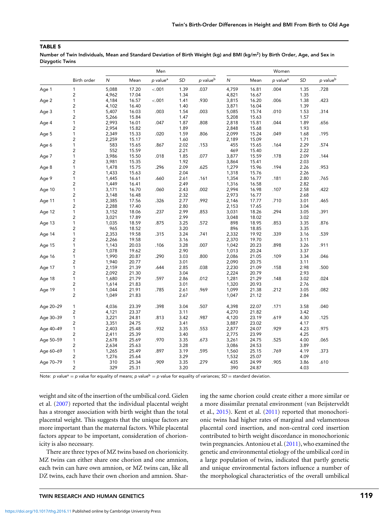<span id="page-7-0"></span>Number of Twin Individuals, Mean and Standard Deviation of Birth Weight (kg) and BMI (kg/m<sup>2</sup>) by Birth Order, Age, and Sex in Dizygotic Twins

|           |                         |           |       | Men                  |      |                      | Women |       |                      |      |                      |
|-----------|-------------------------|-----------|-------|----------------------|------|----------------------|-------|-------|----------------------|------|----------------------|
|           | Birth order             | ${\sf N}$ | Mean  | p value <sup>a</sup> | SD   | p value <sup>b</sup> | N     | Mean  | p value <sup>a</sup> | SD   | p value <sup>b</sup> |
| Age 1     | $\mathbf{1}$            | 5,088     | 17.20 | $-.001$              | 1.39 | .037                 | 4,759 | 16.81 | .004                 | 1.35 | .728                 |
|           | $\overline{c}$          | 4,962     | 17.04 |                      | 1.34 |                      | 4,821 | 16.67 |                      | 1.35 |                      |
| Age 2     | 1                       | 4,184     | 16.57 | $-.001$              | 1.41 | .930                 | 3,815 | 16.20 | .006                 | 1.38 | .423                 |
|           | 2                       | 4,102     | 16.40 |                      | 1.40 |                      | 3,871 | 16.04 |                      | 1.39 |                      |
| Age 3     | 1                       | 5,407     | 16.03 | .003                 | 1.54 | .003                 | 5,085 | 15.74 | .010                 | 1.53 | .314                 |
|           | 2                       | 5,266     | 15.84 |                      | 1.47 |                      | 5,208 | 15.63 |                      | 1.57 |                      |
| Age 4     | 1                       | 2,993     | 16.01 | .047                 | 1.87 | .808                 | 2,818 | 15.81 | .044                 | 1.89 | .656                 |
|           | $\overline{\mathbf{c}}$ | 2,954     | 15.82 |                      | 1.89 |                      | 2,848 | 15.68 |                      | 1.93 |                      |
| Age 5     | $\mathbf 1$             | 2,349     | 15.33 | .020                 | 1.59 | .806                 | 2,099 | 15.24 | .049                 | 1.68 | .195                 |
|           | $\overline{\mathbf{c}}$ | 2,259     | 15.17 |                      | 1.60 |                      | 2,189 | 15.09 |                      | 1.71 |                      |
| Age 6     | 1                       | 583       | 15.65 | .867                 | 2.02 | .153                 | 455   | 15.65 | .164                 | 2.29 | .574                 |
|           | 2                       | 552       | 15.59 |                      | 2.21 |                      | 469   | 15.40 |                      | 2.22 |                      |
| Age 7     | 1                       | 3,986     | 15.50 | .018                 | 1.85 | .077                 | 3,877 | 15.59 | .178                 | 2.09 | .144                 |
|           | 2                       | 3,981     | 15.35 |                      | 1.92 |                      | 3,864 | 15.41 |                      | 2.03 |                      |
| Age 8     | 1                       | 1,478     | 15.75 | .296                 | 2.09 | .625                 | 1,279 | 15.96 | .194                 | 2.26 | .953                 |
|           | 2                       | 1,433     | 15.63 |                      | 2.04 |                      | 1,318 | 15.76 |                      | 2.26 |                      |
| Age 9     | 1                       | 1,445     | 16.61 | .660                 | 2.61 | .161                 | 1,354 | 16.77 | .181                 | 2.80 | .765                 |
|           | 2                       | 1,449     | 16.41 |                      | 2.49 |                      | 1,316 | 16.58 |                      | 2.82 |                      |
| Age 10    | 1                       | 3,171     | 16.70 | .060                 | 2.43 | .002                 | 2,994 | 16.98 | .107                 | 2.58 | .422                 |
|           | $\overline{\mathbf{c}}$ | 3,148     | 16.48 |                      | 2.32 |                      | 2,973 | 16.77 |                      | 2.68 |                      |
| Age 11    | 1                       | 2,385     | 17.56 | .326                 | 2.77 | .992                 | 2,146 | 17.77 | .710                 | 3.01 | .465                 |
|           | 2                       | 2,288     | 17.40 |                      | 2.80 |                      | 2,153 | 17.65 |                      | 3.04 |                      |
| Age 12    | 1                       | 3,152     | 18.06 | .237                 | 2.99 | .853                 | 3,031 | 18.26 | .294                 | 3.05 | .391                 |
|           | $\overline{c}$          | 3,021     | 17.89 |                      | 2.99 |                      | 3,048 | 18.02 |                      | 3.02 |                      |
| Age 13    | 1                       | 1,035     | 18.59 | .875                 | 3.25 | .572                 | 898   | 18.95 | .853                 | 3.35 | .876                 |
|           | $\overline{\mathbf{c}}$ | 965       | 18.52 |                      | 3.20 |                      | 896   | 18.85 |                      | 3.35 |                      |
| Age 14    | 1                       | 2,353     | 19.58 | .315                 | 3.24 | .741                 | 2,332 | 19.92 | .339                 | 3.16 | .539                 |
|           | 2                       | 2,266     | 19.58 |                      | 3.16 |                      | 2,370 | 19.70 |                      | 3.11 |                      |
| Age 15    | 1                       | 1,143     | 20.03 | .106                 | 3.28 | .007                 | 1,042 | 20.23 | .898                 | 3.26 | .911                 |
|           | $\overline{c}$          | 1,078     | 19.62 |                      | 2.90 |                      | 1,013 | 20.24 |                      | 3.37 |                      |
| Age 16    | 1                       | 1,990     | 20.87 | .290                 | 3.03 | .800                 | 2,086 | 21.05 | .109                 | 3.34 | .046                 |
|           | 2                       | 1,940     | 20.77 |                      | 3.01 |                      | 2,090 | 20.75 |                      | 3.11 |                      |
| Age 17    | 1                       | 2,159     | 21.39 | .644                 | 2.85 | .038                 | 2,230 | 21.09 | .158                 | 2.98 | .500                 |
|           | 2                       | 2,092     | 21.30 |                      | 3.04 |                      | 2,224 | 20.79 |                      | 2.93 |                      |
| Age 18    | 1                       | 1,680     | 21.79 | .597                 | 2.86 | .012                 | 1,281 | 21.29 | .148                 | 3.02 | .024                 |
|           | 2                       | 1,614     | 21.83 |                      | 3.01 |                      | 1,320 | 20.93 |                      | 2.76 |                      |
| Age 19    | $\mathbf 1$             | 1,044     | 21.91 | .785                 | 2.61 | .969                 | 1,099 | 21.38 | .212                 | 3.05 | .082                 |
|           | $\overline{c}$          | 1,049     | 21.83 |                      | 2.67 |                      | 1,047 | 21.12 |                      | 2.84 |                      |
| Age 20-29 | 1                       | 4,036     | 23.39 | .398                 | 3.04 | .507                 | 4,398 | 22.07 | .171                 | 3.58 | .040                 |
|           | $\overline{c}$          | 4,121     | 23.37 |                      | 3.11 |                      | 4,270 | 21.82 |                      | 3.42 |                      |
| Age 30-39 | $\mathbf{1}$            | 3,221     | 24.81 | .813                 | 3.42 | .987                 | 4,120 | 23.19 | .619                 | 4.30 | .125                 |
|           | 2                       | 3,351     | 24.75 |                      | 3.41 |                      | 3,887 | 23.02 |                      | 4.17 |                      |
| Age 40-49 | 1                       | 2,403     | 25.48 | .932                 | 3.35 | .553                 | 2,877 | 24.07 | .929                 | 4.23 | .975                 |
|           | $\overline{\mathbf{c}}$ | 2,411     | 25.39 |                      | 3.40 |                      | 2,775 | 23.99 |                      | 4.25 |                      |
| Age 50-59 | $\mathbf{1}$            | 2,678     | 25.69 | .970                 | 3.35 | .673                 | 3,261 | 24.75 | .525                 | 4.00 | .065                 |
|           | $\overline{\mathbf{c}}$ | 2,634     | 25.63 |                      | 3.28 |                      | 3,086 | 24.53 |                      | 3.89 |                      |
| Age 60-69 | $\mathbf{1}$            | 1,265     | 25.49 | .897                 | 3.19 | .595                 | 1,560 | 25.15 | .769                 | 4.19 | .373                 |
|           | $\overline{\mathbf{c}}$ | 1,276     | 25.64 |                      | 3.29 |                      | 1,532 | 25.07 |                      | 4.09 |                      |
| Age 70-79 | 1                       | 310       | 25.34 | .909                 | 3.35 | .279                 | 435   | 24.99 | .905                 | 3.86 | .610                 |
|           | $\overline{c}$          | 329       | 25.31 |                      | 3.20 |                      | 390   | 24.87 |                      | 4.03 |                      |

Note: p value<sup>a</sup> = p value for equality of means; p value<sup>b</sup> = p value for equality of variances;  $SD =$  standard deviation.

weight and site of the insertion of the umbilical cord. Gielen et al. [\(2007\)](#page-11-0) reported that the individual placental weight has a stronger association with birth weight than the total placental weight. This suggests that the unique factors are more important than the maternal factors. While placental factors appear to be important, consideration of chorionicity is also necessary.

There are three types of MZ twins based on chorionicity. MZ twins can either share one chorion and one amnion, each twin can have own amnion, or MZ twins can, like all DZ twins, each have their own chorion and amnion. Sharing the same chorion could create either a more similar or a more dissimilar prenatal environment (van Beijsterveldt et al., [2015\)](#page-12-0). Kent et al. [\(2011\)](#page-11-0) reported that monochorionic twins had higher rates of marginal and velamentous placental cord insertion, and non-central cord insertion contributed to birth weight discordance in monochorionic twin pregnancies. Antoniou et al. [\(2011\)](#page-11-0), who examined the genetic and environmental etiology of the umbilical cord in a large population of twins, indicated that partly genetic and unique environmental factors influence a number of the morphological characteristics of the overall umbilical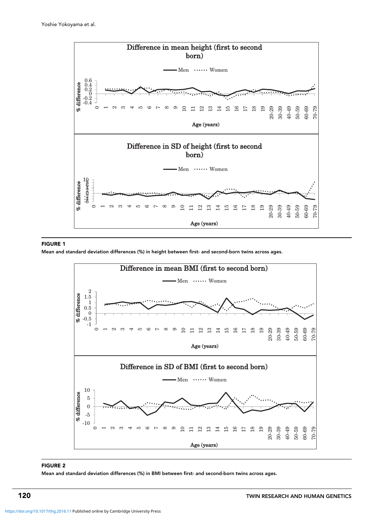<span id="page-8-0"></span>

#### FIGURE 1

Mean and standard deviation differences (%) in height between first- and second-born twins across ages.



#### FIGURE 2

Mean and standard deviation differences (%) in BMI between first- and second-born twins across ages.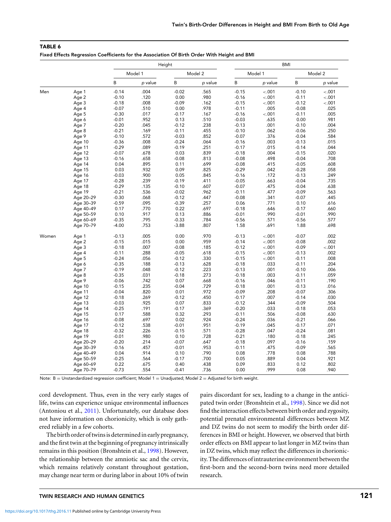<span id="page-9-0"></span>Fixed Effects Regression Coefficients for the Association Of Birth Order With Height and BMI

|       |           |         |         | Height  |         | <b>BMI</b> |         |         |         |
|-------|-----------|---------|---------|---------|---------|------------|---------|---------|---------|
|       |           |         | Model 1 |         | Model 2 |            | Model 1 |         | Model 2 |
|       |           | B       | p value | B       | p value | B          | p value | B       | p value |
| Men   | Age 1     | $-0.14$ | .004    | $-0.02$ | .565    | $-0.15$    | $-.001$ | $-0.10$ | $-.001$ |
|       | Age 2     | $-0.10$ | .120    | 0.00    | .980    | $-0.16$    | $-.001$ | $-0.11$ | $-.001$ |
|       | Age 3     | $-0.18$ | .008    | $-0.09$ | .162    | $-0.15$    | $-.001$ | $-0.12$ | $-.001$ |
|       | Age 4     | $-0.07$ | .510    | 0.00    | .978    | $-0.11$    | .005    | $-0.08$ | .025    |
|       | Age 5     | $-0.30$ | .017    | $-0.17$ | .167    | $-0.16$    | $-.001$ | $-0.11$ | .005    |
|       | Age 6     | $-0.01$ | .952    | 0.13    | .510    | $-0.03$    | .635    | 0.00    | .981    |
|       | Age 7     | $-0.20$ | .045    | $-0.12$ | .238    | $-0.13$    | .001    | $-0.10$ | .004    |
|       | Age 8     | $-0.21$ | .169    | $-0.11$ | .455    | $-0.10$    | .062    | $-0.06$ | .250    |
|       | Age 9     | $-0.10$ | .572    | $-0.03$ | .852    | $-0.07$    | .376    | $-0.04$ | .584    |
|       | Age 10    | $-0.36$ | .008    | $-0.24$ | .064    | $-0.16$    | .003    | $-0.13$ | .015    |
|       | Age 11    | $-0.29$ | .089    | $-0.19$ | .251    | $-0.17$    | .015    | $-0.14$ | .044    |
|       | Age 12    | $-0.07$ | .678    | 0.03    | .839    | $-0.18$    | .004    | $-0.15$ | .020    |
|       | Age 13    | $-0.16$ | .658    | $-0.08$ | .813    | $-0.08$    | .498    | $-0.04$ | .708    |
|       | Age 14    | 0.04    | .895    | 0.11    | .699    | $-0.08$    | .415    | $-0.05$ | .608    |
|       | Age 15    | 0.03    | .932    | 0.09    | .825    | $-0.29$    | .042    | $-0.28$ | .058    |
|       | Age 16    | $-0.03$ | .900    | 0.05    | .845    | $-0.16$    | .172    | $-0.13$ | .249    |
|       | Age 17    | $-0.28$ | .239    | $-0.19$ | .411    | $-0.05$    | .663    | $-0.04$ | .735    |
|       | Age 18    | $-0.29$ | .135    | $-0.10$ | .607    | $-0.07$    | .475    | $-0.04$ | .638    |
|       | Age 19    | $-0.21$ | .536    | $-0.02$ | .962    | $-0.11$    | .477    | $-0.09$ | .563    |
|       | Age 20-29 | $-0.30$ | .068    | $-0.12$ | .447    | $-0.08$    | .341    | $-0.07$ | .445    |
|       | Age 30-39 | $-0.59$ | .095    | $-0.39$ | .257    | 0.06       | .771    | 0.10    | .616    |
|       | Age 40-49 | 0.17    | .770    | 0.22    | .697    | $-0.18$    | .646    | $-0.17$ | .660    |
|       | Age 50-59 | 0.10    | .917    | 0.13    | .886    | $-0.01$    | .990    | $-0.01$ | .990    |
|       | Age 60-69 | $-0.35$ | .795    | $-0.33$ | .784    | $-0.56$    | .571    | $-0.56$ | .577    |
|       | Age 70-79 | $-4.00$ | .753    | $-3.88$ | .807    | 1.58       | .691    | 1.88    | .698    |
| Women | Age 1     | $-0.13$ | .005    | 0.00    | .970    | $-0.13$    | $-.001$ | $-0.07$ | .002    |
|       | Age 2     | $-0.15$ | .015    | 0.00    | .959    | $-0.14$    | $-.001$ | $-0.08$ | .002    |
|       | Age 3     | $-0.18$ | .007    | $-0.08$ | .185    | $-0.12$    | $-.001$ | $-0.09$ | $-.001$ |
|       | Age 4     | $-0.11$ | .288    | $-0.05$ | .618    | $-0.15$    | $-.001$ | $-0.13$ | .002    |
|       | Age 5     | $-0.24$ | .056    | $-0.12$ | .330    | $-0.15$    | < .001  | $-0.11$ | .008    |
|       | Age 6     | $-0.35$ | .188    | $-0.13$ | .628    | $-0.18$    | .033    | $-0.11$ | .204    |
|       | Age 7     | $-0.19$ | .048    | $-0.12$ | .223    | $-0.13$    | .001    | $-0.10$ | .006    |
|       | Age 8     | $-0.35$ | .031    | $-0.18$ | .273    | $-0.18$    | .003    | $-0.11$ | .059    |
|       | Age 9     | $-0.06$ | .742    | 0.07    | .668    | $-0.16$    | .046    | $-0.11$ | .190    |
|       | Age 10    | $-0.15$ | .235    | $-0.04$ | .729    | $-0.18$    | .001    | $-0.13$ | .016    |
|       | Age 11    | $-0.04$ | .820    | 0.01    | .972    | $-0.09$    | .208    | $-0.07$ | .306    |
|       | Age 12    | $-0.18$ | .269    | $-0.12$ | .450    | $-0.17$    | .007    | $-0.14$ | .030    |
|       | Age 13    | $-0.03$ | .925    | 0.07    | .833    | $-0.12$    | .344    | $-0.09$ | .504    |
|       | Age 14    | $-0.25$ | .191    | $-0.17$ | .369    | $-0.20$    | .033    | $-0.18$ | .053    |
|       | Age 15    | 0.17    | .588    | 0.32    | .293    | $-0.11$    | .506    | $-0.08$ | .630    |
|       | Age 16    | $-0.08$ | .697    | 0.02    | .924    | $-0.24$    | .036    | $-0.21$ | .066    |
|       | Age 17    | $-0.12$ | .538    | $-0.01$ | .951    | $-0.19$    | .045    | $-0.17$ | .071    |
|       | Age 18    | $-0.32$ | .226    | $-0.15$ | .571    | $-0.28$    | .047    | $-0.24$ | .081    |
|       | Age 19    | $-0.01$ | .980    | 0.10    | .728    | $-0.21$    | .180    | $-0.18$ | .245    |
|       | Age 20-29 | $-0.20$ | .214    | $-0.07$ | .647    | $-0.18$    | .097    | $-0.16$ | .159    |
|       | Age 30-39 | $-0.16$ | .457    | $-0.01$ | .953    | $-0.11$    | .475    | $-0.09$ | .565    |
|       | Age 40-49 | 0.04    | .914    | 0.10    | .790    | 0.08       | .778    | 0.08    | .788    |
|       | Age 50-59 | $-0.25$ | .564    | $-0.17$ | .700    | 0.05       | .889    | 0.04    | .921    |
|       | Age 60-69 | 0.22    | .675    | 0.40    | .438    | 0.09       | .833    | 0.12    | .802    |
|       | Age 70-79 | $-0.73$ | .554    | $-0.41$ | .736    | 0.00       | .999    | 0.08    | .940    |
|       |           |         |         |         |         |            |         |         |         |

Note:  $B =$  Unstandardized regression coefficient; Model 1 = Unadjusted; Model 2 = Adjusted for birth weight.

cord development. Thus, even in the very early stages of life, twins can experience unique environmental influences (Antoniou et al., [2011\)](#page-11-0). Unfortunately, our database does not have information on chorionicity, which is only gathered reliably in a few cohorts.

The birth order of twins is determined in early pregnancy, and the first twin at the beginning of pregnancy intrinsically remains in this position (Bronshtein et al., [1998\)](#page-11-0). However, the relationship between the amniotic sac and the cervix, which remains relatively constant throughout gestation, may change near term or during labor in about 10% of twin pairs discordant for sex, leading to a change in the anticipated twin order (Bronshtein et al., [1998\)](#page-11-0). Since we did not find the interaction effects between birth order and zygosity, potential prenatal environmental differences between MZ and DZ twins do not seem to modify the birth order differences in BMI or height. However, we observed that birth order effects on BMI appear to last longer in MZ twins than in DZ twins, which may reflect the differences in chorionicity. The differences of intrauterine environment between the first-born and the second-born twins need more detailed research.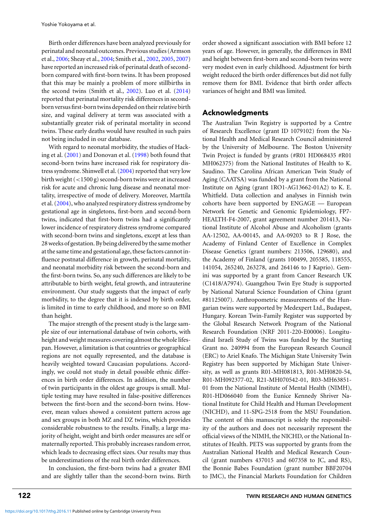Birth order differences have been analyzed previously for perinatal and neonatal outcomes. Previous studies (Armson et al., [2006;](#page-11-0) Sheay et al., [2004;](#page-12-0) Smith et al., [2002,](#page-12-0) [2005,](#page-12-0) [2007\)](#page-12-0) have reported an increased risk of perinatal death of secondborn compared with first-born twins. It has been proposed that this may be mainly a problem of more stillbirths in the second twins (Smith et al., [2002\)](#page-12-0). Luo et al. [\(2014\)](#page-12-0) reported that perinatal mortality risk differences in secondborn versus first-born twins depended on their relative birth size, and vaginal delivery at term was associated with a substantially greater risk of perinatal mortality in second twins. These early deaths would have resulted in such pairs not being included in our database.

With regard to neonatal morbidity, the studies of Hacking et al. [\(2001\)](#page-11-0) and Donovan et al. [\(1998\)](#page-11-0) both found that second-born twins have increased risk for respiratory dis-tress syndrome. Shinwell et al. [\(2004\)](#page-12-0) reported that very low birth weight (*<*1500 g) second-born twins were at increased risk for acute and chronic lung disease and neonatal mortality, irrespective of mode of delivery. Moreover, Marttila et al. [\(2004\)](#page-12-0), who analyzed respiratory distress syndrome by gestational age in singletons, first-born ,and second-born twins, indicated that first-born twins had a significantly lower incidence of respiratory distress syndrome compared with second-born twins and singletons, except at less than 28 weeks of gestation. By being delivered by the same mother at the same time and gestational age, these factors cannot influence postnatal difference in growth, perinatal mortality, and neonatal morbidity risk between the second-born and the first-born twins. So, any such differences are likely to be attributable to birth weight, fetal growth, and intrauterine environment. Our study suggests that the impact of early morbidity, to the degree that it is indexed by birth order, is limited in time to early childhood, and more so on BMI than height.

The major strength of the present study is the large sample size of our international database of twin cohorts, with height and weight measures covering almost the whole lifespan. However, a limitation is that countries or geographical regions are not equally represented, and the database is heavily weighted toward Caucasian populations. Accordingly, we could not study in detail possible ethnic differences in birth order differences. In addition, the number of twin participants in the oldest age groups is small. Multiple testing may have resulted in false-positive differences between the first-born and the second-born twins. However, mean values showed a consistent pattern across age and sex groups in both MZ and DZ twins, which provides considerable robustness to the results. Finally, a large majority of height, weight and birth order measures are self or maternally reported. This probably increases random error, which leads to decreasing effect sizes. Our results may thus be underestimations of the real birth order differences.

In conclusion, the first-born twins had a greater BMI and are slightly taller than the second-born twins. Birth order showed a significant association with BMI before 12 years of age. However, in generally, the differences in BMI and height between first-born and second-born twins were very modest even in early childhood. Adjustment for birth weight reduced the birth order differences but did not fully remove them for BMI. Evidence that birth order affects variances of height and BMI was limited.

## Acknowledgments

The Australian Twin Registry is supported by a Centre of Research Excellence (grant ID 1079102) from the National Health and Medical Research Council administered by the University of Melbourne. The Boston University Twin Project is funded by grants (#R01 HD068435 #R01 MH062375) from the National Institutes of Health to K. Saudino. The Carolina African American Twin Study of Aging (CAATSA) was funded by a grant from the National Institute on Aging (grant 1RO1-AG13662-01A2) to K. E. Whitfield. Data collection and analyses in Finnish twin cohorts have been supported by ENGAGE — European Network for Genetic and Genomic Epidemiology, FP7- HEALTH-F4-2007, grant agreement number 201413, National Institute of Alcohol Abuse and Alcoholism (grants AA-12502, AA-00145, and AA-09203 to R J Rose, the Academy of Finland Center of Excellence in Complex Disease Genetics (grant numbers: 213506, 129680), and the Academy of Finland (grants 100499, 205585, 118555, 141054, 265240, 263278, and 264146 to J Kaprio). Gemini was supported by a grant from Cancer Research UK (C1418/A7974). Guangzhou Twin Eye Study is supported by National Natural Science Foundation of China (grant #81125007). Anthropometric measurements of the Hungarian twins were supported by Medexpert Ltd., Budapest, Hungary. Korean Twin-Family Register was supported by the Global Research Network Program of the National Research Foundation (NRF 2011-220-E00006). Longitudinal Israeli Study of Twins was funded by the Starting Grant no. 240994 from the European Research Council (ERC) to Ariel Knafo. The Michigan State University Twin Registry has been supported by Michigan State University, as well as grants R01-MH081813, R01-MH0820-54, R01-MH092377-02, R21-MH070542-01, R03-MH63851- 01 from the National Institute of Mental Health (NIMH), R01-HD066040 from the Eunice Kennedy Shriver National Institute for Child Health and Human Development (NICHD), and 11-SPG-2518 from the MSU Foundation. The content of this manuscript is solely the responsibility of the authors and does not necessarily represent the official views of the NIMH, the NICHD, or the National Institutes of Health. PETS was supported by grants from the Australian National Health and Medical Research Council (grant numbers 437015 and 607358 to JC, and RS), the Bonnie Babes Foundation (grant number BBF20704 to JMC), the Financial Markets Foundation for Children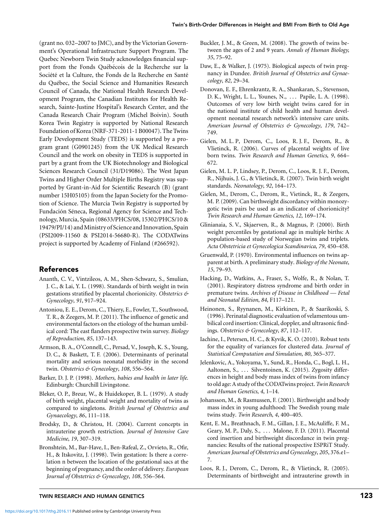<span id="page-11-0"></span>(grant no. 032–2007 to JMC), and by the Victorian Government's Operational Infrastructure Support Program. The Quebec Newborn Twin Study acknowledges financial support from the Fonds Québécois de la Recherche sur la Société et la Culture, the Fonds de la Recherche en Santé du Quebec, the Social Science and Humanities Research ´ Council of Canada, the National Health Research Development Program, the Canadian Institutes for Health Research, Sainte-Justine Hospital's Research Center, and the Canada Research Chair Program (Michel Boivin). South Korea Twin Registry is supported by National Research Foundation of Korea (NRF-371-2011-1 B00047). The Twins Early Development Study (TEDS) is supported by a program grant (G0901245) from the UK Medical Research Council and the work on obesity in TEDS is supported in part by a grant from the UK Biotechnology and Biological Sciences Research Council (31/D19086). The West Japan Twins and Higher Order Multiple Births Registry was supported by Grant-in-Aid for Scientific Research (B) (grant number 15H05105) from the Japan Society for the Promotion of Science. The Murcia Twin Registry is supported by Fundación Séneca, Regional Agency for Science and Technology, Murcia, Spain (08633/PHCS/08, 15302/PHCS/10 & 19479/PI/14) and Ministry of Science and Innovation, Spain (PSI2009-11560 & PSI2014-56680-R). The CODATwins project is supported by Academy of Finland (#266592).

# References

- Ananth, C. V., Vintzileos, A. M., Shen-Schwarz, S., Smulian, J. C., & Lai, Y. L. (1998). Standards of birth weight in twin gestations stratified by placental chorionicity. *Obstetrics & Gynecology*, *91*, 917–924.
- Antoniou, E. E., Derom, C., Thiery, E., Fowler, T., Southwood, T. R., & Zeegers, M. P. (2011). The influence of genetic and environmental factors on the etiology of the human umbilical cord: The east flanders prospective twin survey. *Biology of Reproduction*, *85*, 137–143.
- Armson, B. A., O'Connell, C., Persad, V., Joseph, K. S., Young, D. C., & Baskett, T. F. (2006). Determinants of perinatal mortality and serious neonatal morbidity in the second twin. *Obstetrics & Gynecology*, *108*, 556–564.
- Barker, D. J. P. (1998). *Mothers, babies and health in later life*. Edinburgh: Churchill Livingstone.
- Bleker, O. P., Breur, W., & Huidekoper, B. L. (1979). A study of birth weight, placental weight and mortality of twins as compared to singletons. *British Journal of Obstetrics and Gynaecology*, *86*, 111–118.
- Brodsky, D., & Christou, H. (2004). Current concepts in intrauterine growth restriction. *Journal of Intensive Care Medicine*, *19*, 307–319.
- Bronshtein, M., Bar-Have, I., Ben-Rafeal, Z., Orvieto, R., Ofir, H., & Itskovitz, J. (1998). Twin gestation: Is there a correlation n between the location of the gestational sacs at the beginning of pregnancy, and the order of delivery. *European Journal of Obstetrics & Gynecology*, *108*, 556–564.
- Buckler, J. M., & Green, M. (2008). The growth of twins between the ages of 2 and 9 years. *Annals of Human Biology, 35*, 75–92.
- Daw, E., & Walker, J. (1975). Biological aspects of twin pregnancy in Dundee. *British Journal of Obstetrics and Gynaecology*, *82*, 29–34.
- Donovan, E. F., Ehrenkrantz, R. A., Shankaran, S., Stevenson, D. K., Wright, L. L., Younes, N., . . . Papile, L. A. (1998). Outcomes of very low birth weight twins cared for in the national institute of child health and human development neonatal research network's intensive care units. *American Journal of Obstetrics & Gynecology*, *179*, 742– 749.
- Gielen, M. L. P, Derom, C., Loos, R. J. F., Derom, R., & Vlietinck, R. (2006). Curves of placental weights of live born twins. *Twin Research and Human Genetics*, *9*, 664– 672.
- Gielen, M. L. P, Lindsey, P., Derom, C., Loos, R. J. F., Derom, R., Nijhuis, J. G., & Vlietinck, R. (2007). Twin birth weight standards. *Neonatology*, *92*, 164–173.
- Gielen, M., Derom, C., Derom, R., Vietinck, R., & Zeegers, M. P. (2009). Can birthweight discordancy within monozygotic twin pairs be used as an indicator of chorionicity? *Twin Research and Human Genetics*, *12*, 169–174.
- Glinianaia, S. V., Skjaerven, R., & Magnus, P. (2000). Birth weight percentiles by gestational age in multiple births: A population-based study of Norwegian twins and triplets. *Acta Obstetricia et Gynecologica Scandinavica*, *79*, 450–458.
- Gruenwald, P. (1970). Environmental influences on twins apparent at birth. A preliminary study. *Biology of the Neonate*, *15*, 79–93.
- Hacking, D., Watkins, A., Fraser, S., Wolfe, R., & Nolan, T. (2001). Respiratory distress syndrome and birth order in premature twins. *Archives of Disease in Childhood — Fetal and Neonatal Edition*, *84*, F117–121.
- Heinonen, S., Ryynanen, M., Kirkinen, P., & Saarikoski, S. (1996). Perinatal diagnostic evaluation of velamentous umbilical cord insertion: Clinical, doppler, and ultrasonic findings. *Obstetrics & Gynecology*, *87*, 112–117.
- Iachine, I., Petersen, H. C., & Kyvik, K. O. (2010). Robust tests for the equality of variances for clustered data. *Journal of Statistical Computation and Simulation, 80*, 365–377.
- Jelenkovic, A., Yokoyama, Y., Sund, R., Honda, C., Bogl, L. H., Aaltonen, S., ... Silventoinen, K. (2015). Zygosity differences in height and body mass index of twins from infancy to old age: A study of the CODATwins project.*Twin Research and Human Genetics*, *4*, 1–14.
- Johansson, M., & Rasmussen, F. (2001). Birthweight and body mass index in young adulthood: The Swedish young male twins study. *Twin Research*, *4*, 400–405.
- Kent, E. M., Breathnach, F. M., Gillan, J. E., McAuliffe, F. M., Geary, M. P., Daly, S., . . . Malone, F. D. (2011). Placental cord insertion and birthweight discordance in twin pregnancies: Results of the national prospective ESPRiT Study. *American Journal of Obstetrics and Gynecology*, *205*, 376.e1– 7.
- Loos, R. J., Derom, C., Derom, R., & Vlietinck, R. (2005). Determinants of birthweight and intrauterine growth in

## TWIN RESEARCH AND HUMAN GENETICS **123**